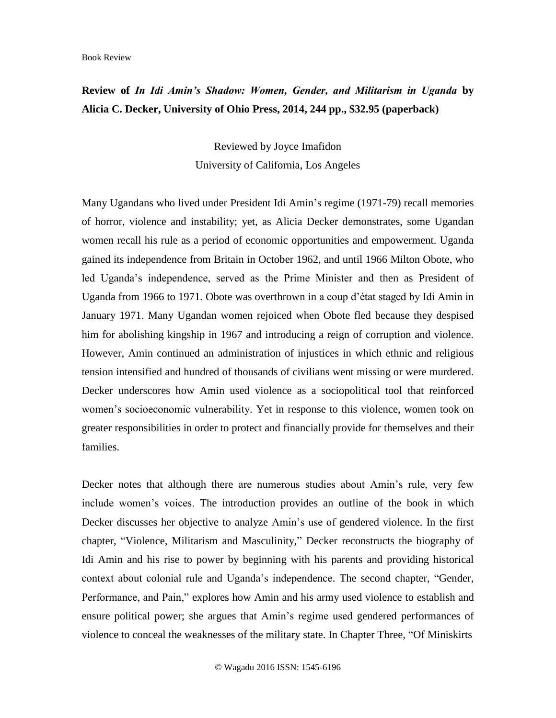## **Review of** *In Idi Amin's Shadow: Women, Gender, and Militarism in Uganda* **by Alicia C. Decker, University of Ohio Press, 2014, 244 pp., \$32.95 (paperback)**

Reviewed by Joyce Imafidon University of California, Los Angeles

Many Ugandans who lived under President Idi Amin's regime (1971-79) recall memories of horror, violence and instability; yet, as Alicia Decker demonstrates, some Ugandan women recall his rule as a period of economic opportunities and empowerment. Uganda gained its independence from Britain in October 1962, and until 1966 Milton Obote, who led Uganda's independence, served as the Prime Minister and then as President of Uganda from 1966 to 1971. Obote was overthrown in a coup d'état staged by Idi Amin in January 1971. Many Ugandan women rejoiced when Obote fled because they despised him for abolishing kingship in 1967 and introducing a reign of corruption and violence. However, Amin continued an administration of injustices in which ethnic and religious tension intensified and hundred of thousands of civilians went missing or were murdered. Decker underscores how Amin used violence as a sociopolitical tool that reinforced women's socioeconomic vulnerability. Yet in response to this violence, women took on greater responsibilities in order to protect and financially provide for themselves and their families.

Decker notes that although there are numerous studies about Amin's rule, very few include women's voices. The introduction provides an outline of the book in which Decker discusses her objective to analyze Amin's use of gendered violence. In the first chapter, "Violence, Militarism and Masculinity," Decker reconstructs the biography of Idi Amin and his rise to power by beginning with his parents and providing historical context about colonial rule and Uganda's independence. The second chapter, "Gender, Performance, and Pain," explores how Amin and his army used violence to establish and ensure political power; she argues that Amin's regime used gendered performances of violence to conceal the weaknesses of the military state. In Chapter Three, "Of Miniskirts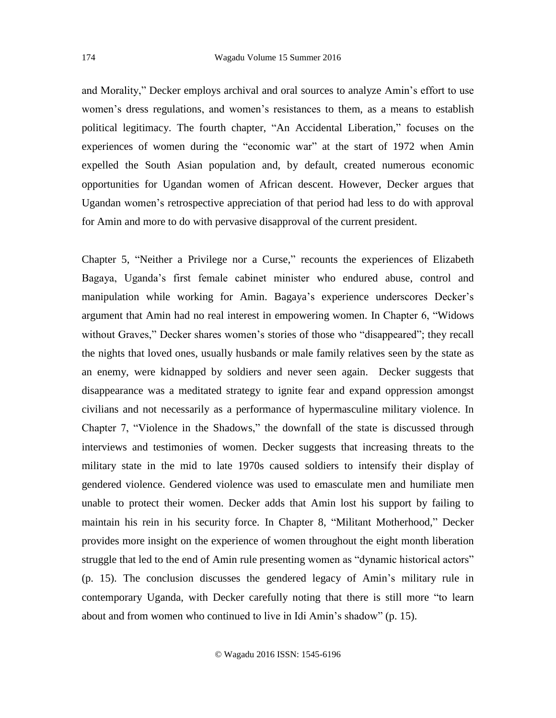and Morality," Decker employs archival and oral sources to analyze Amin's effort to use women's dress regulations, and women's resistances to them, as a means to establish political legitimacy. The fourth chapter, "An Accidental Liberation," focuses on the experiences of women during the "economic war" at the start of 1972 when Amin expelled the South Asian population and, by default, created numerous economic opportunities for Ugandan women of African descent. However, Decker argues that Ugandan women's retrospective appreciation of that period had less to do with approval for Amin and more to do with pervasive disapproval of the current president.

Chapter 5, "Neither a Privilege nor a Curse," recounts the experiences of Elizabeth Bagaya, Uganda's first female cabinet minister who endured abuse, control and manipulation while working for Amin. Bagaya's experience underscores Decker's argument that Amin had no real interest in empowering women. In Chapter 6, "Widows without Graves," Decker shares women's stories of those who "disappeared"; they recall the nights that loved ones, usually husbands or male family relatives seen by the state as an enemy, were kidnapped by soldiers and never seen again. Decker suggests that disappearance was a meditated strategy to ignite fear and expand oppression amongst civilians and not necessarily as a performance of hypermasculine military violence. In Chapter 7, "Violence in the Shadows," the downfall of the state is discussed through interviews and testimonies of women. Decker suggests that increasing threats to the military state in the mid to late 1970s caused soldiers to intensify their display of gendered violence. Gendered violence was used to emasculate men and humiliate men unable to protect their women. Decker adds that Amin lost his support by failing to maintain his rein in his security force. In Chapter 8, "Militant Motherhood," Decker provides more insight on the experience of women throughout the eight month liberation struggle that led to the end of Amin rule presenting women as "dynamic historical actors" (p. 15). The conclusion discusses the gendered legacy of Amin's military rule in contemporary Uganda, with Decker carefully noting that there is still more "to learn about and from women who continued to live in Idi Amin's shadow" (p. 15).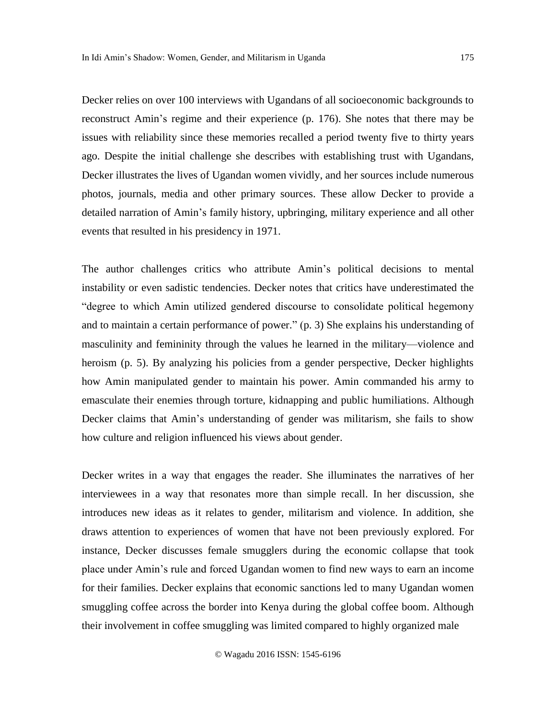Decker relies on over 100 interviews with Ugandans of all socioeconomic backgrounds to reconstruct Amin's regime and their experience (p. 176). She notes that there may be issues with reliability since these memories recalled a period twenty five to thirty years ago. Despite the initial challenge she describes with establishing trust with Ugandans, Decker illustrates the lives of Ugandan women vividly, and her sources include numerous photos, journals, media and other primary sources. These allow Decker to provide a detailed narration of Amin's family history, upbringing, military experience and all other events that resulted in his presidency in 1971.

The author challenges critics who attribute Amin's political decisions to mental instability or even sadistic tendencies. Decker notes that critics have underestimated the "degree to which Amin utilized gendered discourse to consolidate political hegemony and to maintain a certain performance of power." (p. 3) She explains his understanding of masculinity and femininity through the values he learned in the military—violence and heroism (p. 5). By analyzing his policies from a gender perspective, Decker highlights how Amin manipulated gender to maintain his power. Amin commanded his army to emasculate their enemies through torture, kidnapping and public humiliations. Although Decker claims that Amin's understanding of gender was militarism, she fails to show how culture and religion influenced his views about gender.

Decker writes in a way that engages the reader. She illuminates the narratives of her interviewees in a way that resonates more than simple recall. In her discussion, she introduces new ideas as it relates to gender, militarism and violence. In addition, she draws attention to experiences of women that have not been previously explored. For instance, Decker discusses female smugglers during the economic collapse that took place under Amin's rule and forced Ugandan women to find new ways to earn an income for their families. Decker explains that economic sanctions led to many Ugandan women smuggling coffee across the border into Kenya during the global coffee boom. Although their involvement in coffee smuggling was limited compared to highly organized male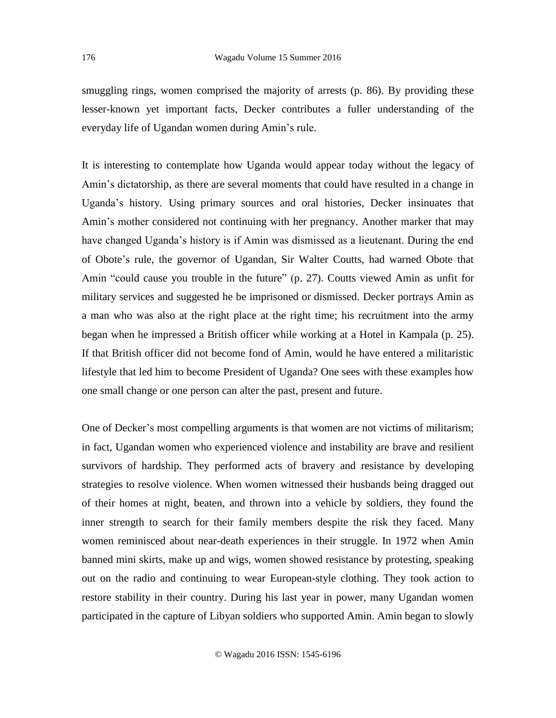smuggling rings, women comprised the majority of arrests (p. 86). By providing these lesser-known yet important facts, Decker contributes a fuller understanding of the everyday life of Ugandan women during Amin's rule.

It is interesting to contemplate how Uganda would appear today without the legacy of Amin's dictatorship, as there are several moments that could have resulted in a change in Uganda's history. Using primary sources and oral histories, Decker insinuates that Amin's mother considered not continuing with her pregnancy. Another marker that may have changed Uganda's history is if Amin was dismissed as a lieutenant. During the end of Obote's rule, the governor of Ugandan, Sir Walter Coutts, had warned Obote that Amin "could cause you trouble in the future" (p. 27). Coutts viewed Amin as unfit for military services and suggested he be imprisoned or dismissed. Decker portrays Amin as a man who was also at the right place at the right time; his recruitment into the army began when he impressed a British officer while working at a Hotel in Kampala (p. 25). If that British officer did not become fond of Amin, would he have entered a militaristic lifestyle that led him to become President of Uganda? One sees with these examples how one small change or one person can alter the past, present and future.

One of Decker's most compelling arguments is that women are not victims of militarism; in fact, Ugandan women who experienced violence and instability are brave and resilient survivors of hardship. They performed acts of bravery and resistance by developing strategies to resolve violence. When women witnessed their husbands being dragged out of their homes at night, beaten, and thrown into a vehicle by soldiers, they found the inner strength to search for their family members despite the risk they faced. Many women reminisced about near-death experiences in their struggle. In 1972 when Amin banned mini skirts, make up and wigs, women showed resistance by protesting, speaking out on the radio and continuing to wear European-style clothing. They took action to restore stability in their country. During his last year in power, many Ugandan women participated in the capture of Libyan soldiers who supported Amin. Amin began to slowly